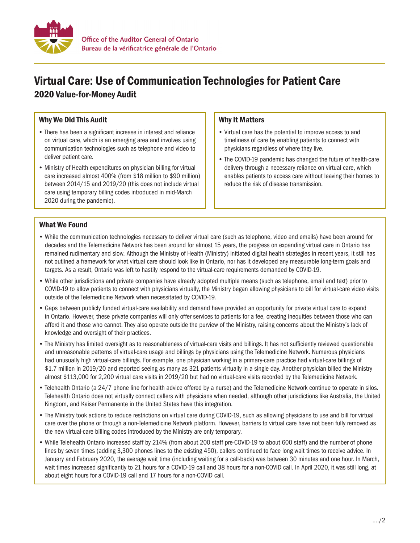

# Virtual Care: Use of Communication Technologies for Patient Care 2020 Value-for-Money Audit

## Why We Did This Audit

- There has been a significant increase in interest and reliance on virtual care, which is an emerging area and involves using communication technologies such as telephone and video to deliver patient care.
- Ministry of Health expenditures on physician billing for virtual care increased almost 400% (from \$18 million to \$90 million) between 2014/15 and 2019/20 (this does not include virtual care using temporary billing codes introduced in mid-March 2020 during the pandemic).

### Why It Matters

- Virtual care has the potential to improve access to and timeliness of care by enabling patients to connect with physicians regardless of where they live.
- The COVID-19 pandemic has changed the future of health-care delivery through a necessary reliance on virtual care, which enables patients to access care without leaving their homes to reduce the risk of disease transmission.

### What We Found

- While the communication technologies necessary to deliver virtual care (such as telephone, video and emails) have been around for decades and the Telemedicine Network has been around for almost 15 years, the progress on expanding virtual care in Ontario has remained rudimentary and slow. Although the Ministry of Health (Ministry) initiated digital health strategies in recent years, it still has not outlined a framework for what virtual care should look like in Ontario, nor has it developed any measurable long-term goals and targets. As a result, Ontario was left to hastily respond to the virtual-care requirements demanded by COVID-19.
- While other jurisdictions and private companies have already adopted multiple means (such as telephone, email and text) prior to COVID-19 to allow patients to connect with physicians virtually, the Ministry began allowing physicians to bill for virtual-care video visits outside of the Telemedicine Network when necessitated by COVID-19.
- Gaps between publicly funded virtual-care availability and demand have provided an opportunity for private virtual care to expand in Ontario. However, these private companies will only offer services to patients for a fee, creating inequities between those who can afford it and those who cannot. They also operate outside the purview of the Ministry, raising concerns about the Ministry's lack of knowledge and oversight of their practices.
- The Ministry has limited oversight as to reasonableness of virtual-care visits and billings. It has not sufficiently reviewed questionable and unreasonable patterns of virtual-care usage and billings by physicians using the Telemedicine Network. Numerous physicians had unusually high virtual-care billings. For example, one physician working in a primary-care practice had virtual-care billings of \$1.7 million in 2019/20 and reported seeing as many as 321 patients virtually in a single day. Another physician billed the Ministry almost \$113,000 for 2,200 virtual care visits in 2019/20 but had no virtual-care visits recorded by the Telemedicine Network.
- Telehealth Ontario (a 24/7 phone line for health advice offered by a nurse) and the Telemedicine Network continue to operate in silos. Telehealth Ontario does not virtually connect callers with physicians when needed, although other jurisdictions like Australia, the United Kingdom, and Kaiser Permanente in the United States have this integration.
- The Ministry took actions to reduce restrictions on virtual care during COVID-19, such as allowing physicians to use and bill for virtual care over the phone or through a non-Telemedicine Network platform. However, barriers to virtual care have not been fully removed as the new virtual-care billing codes introduced by the Ministry are only temporary.
- While Telehealth Ontario increased staff by 214% (from about 200 staff pre-COVID-19 to about 600 staff) and the number of phone lines by seven times (adding 3,300 phones lines to the existing 450), callers continued to face long wait times to receive advice. In January and February 2020, the average wait time (including waiting for a call-back) was between 30 minutes and one hour. In March, wait times increased significantly to 21 hours for a COVID-19 call and 38 hours for a non-COVID call. In April 2020, it was still long, at about eight hours for a COVID-19 call and 17 hours for a non-COVID call.